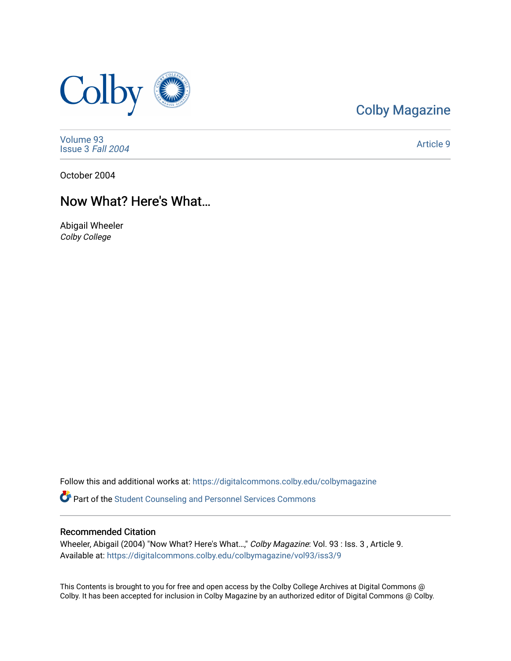

### [Colby Magazine](https://digitalcommons.colby.edu/colbymagazine)

[Volume 93](https://digitalcommons.colby.edu/colbymagazine/vol93) [Issue 3](https://digitalcommons.colby.edu/colbymagazine/vol93/iss3) Fall 2004

[Article 9](https://digitalcommons.colby.edu/colbymagazine/vol93/iss3/9) 

October 2004

### Now What? Here's What…

Abigail Wheeler Colby College

Follow this and additional works at: [https://digitalcommons.colby.edu/colbymagazine](https://digitalcommons.colby.edu/colbymagazine?utm_source=digitalcommons.colby.edu%2Fcolbymagazine%2Fvol93%2Fiss3%2F9&utm_medium=PDF&utm_campaign=PDFCoverPages) **P** Part of the Student Counseling and Personnel Services Commons

#### Recommended Citation

Wheeler, Abigail (2004) "Now What? Here's What…," Colby Magazine: Vol. 93 : Iss. 3 , Article 9. Available at: [https://digitalcommons.colby.edu/colbymagazine/vol93/iss3/9](https://digitalcommons.colby.edu/colbymagazine/vol93/iss3/9?utm_source=digitalcommons.colby.edu%2Fcolbymagazine%2Fvol93%2Fiss3%2F9&utm_medium=PDF&utm_campaign=PDFCoverPages)

This Contents is brought to you for free and open access by the Colby College Archives at Digital Commons @ Colby. It has been accepted for inclusion in Colby Magazine by an authorized editor of Digital Commons @ Colby.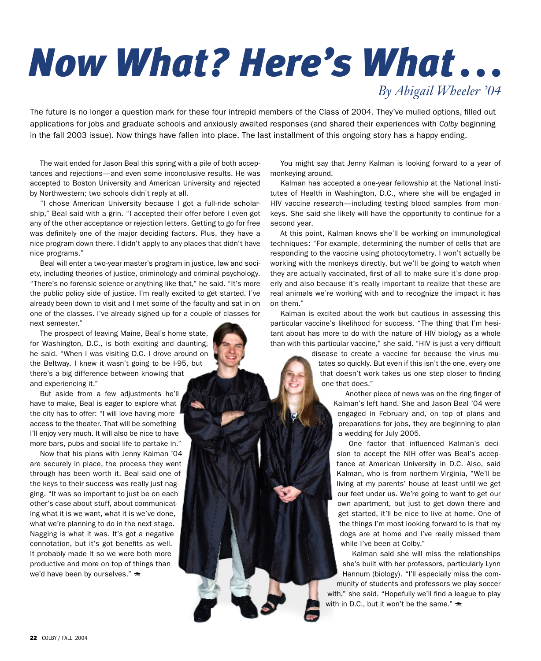# *Now What? Here's What . . . By Abigail Wheeler '04*

The future is no longer a question mark for these four intrepid members of the Class of 2004. They've mulled options, filled out applications for jobs and graduate schools and anxiously awaited responses (and shared their experiences with *Colby* beginning in the fall 2003 issue). Now things have fallen into place. The last installment of this ongoing story has a happy ending.

The wait ended for Jason Beal this spring with a pile of both acceptances and rejections—and even some inconclusive results. He was accepted to Boston University and American University and rejected by Northwestern; two schools didn't reply at all.

"I chose American University because I got a full-ride scholarship," Beal said with a grin. "I accepted their offer before I even got any of the other acceptance or rejection letters. Getting to go for free was definitely one of the major deciding factors. Plus, they have a nice program down there. I didn't apply to any places that didn't have nice programs."

Beal will enter a two-year master's program in justice, law and society, including theories of justice, criminology and criminal psychology. "There's no forensic science or anything like that," he said. "It's more the public policy side of justice. I'm really excited to get started. I've already been down to visit and I met some of the faculty and sat in on one of the classes. I've already signed up for a couple of classes for next semester."

The prospect of leaving Maine, Beal's home state, for Washington, D.C., is both exciting and daunting, he said. "When I was visiting D.C. I drove around on the Beltway. I knew it wasn't going to be I-95, but there's a big difference between knowing that and experiencing it."

But aside from a few adjustments he'll have to make, Beal is eager to explore what the city has to offer: "I will love having more access to the theater. That will be something I'll enjoy very much. It will also be nice to have more bars, pubs and social life to partake in."

Now that his plans with Jenny Kalman '04 are securely in place, the process they went through has been worth it. Beal said one of the keys to their success was really just nagging. "It was so important to just be on each other's case about stuff, about communicating what it is we want, what it is we've done, what we're planning to do in the next stage. Nagging is what it was. It's got a negative connotation, but it's got benefits as well. It probably made it so we were both more productive and more on top of things than we'd have been by ourselves."

You might say that Jenny Kalman is looking forward to a year of monkeying around.

Kalman has accepted a one-year fellowship at the National Institutes of Health in Washington, D.C., where she will be engaged in HIV vaccine research—including testing blood samples from monkeys. She said she likely will have the opportunity to continue for a second year.

At this point, Kalman knows she'll be working on immunological techniques: "For example, determining the number of cells that are responding to the vaccine using photocytometry. I won't actually be working with the monkeys directly, but we'll be going to watch when they are actually vaccinated, first of all to make sure it's done properly and also because it's really important to realize that these are real animals we're working with and to recognize the impact it has on them."

Kalman is excited about the work but cautious in assessing this particular vaccine's likelihood for success. "The thing that I'm hesitant about has more to do with the nature of HIV biology as a whole than with this particular vaccine," she said. "HIV is just a very difficult

> disease to create a vaccine for because the virus mutates so quickly. But even if this isn't the one, every one that doesn't work takes us one step closer to finding one that does."

> > Another piece of news was on the ring finger of Kalman's left hand. She and Jason Beal '04 were engaged in February and, on top of plans and preparations for jobs, they are beginning to plan a wedding for July 2005.

One factor that influenced Kalman's decision to accept the NIH offer was Beal's acceptance at American University in D.C. Also, said Kalman, who is from northern Virginia, "We'll be living at my parents' house at least until we get our feet under us. We're going to want to get our own apartment, but just to get down there and get started, it'll be nice to live at home. One of the things I'm most looking forward to is that my dogs are at home and I've really missed them while I've been at Colby."

Kalman said she will miss the relationships she's built with her professors, particularly Lynn Hannum (biology). "I'll especially miss the community of students and professors we play soccer with," she said. "Hopefully we'll find a league to play with in D.C., but it won't be the same."  $\triangleq$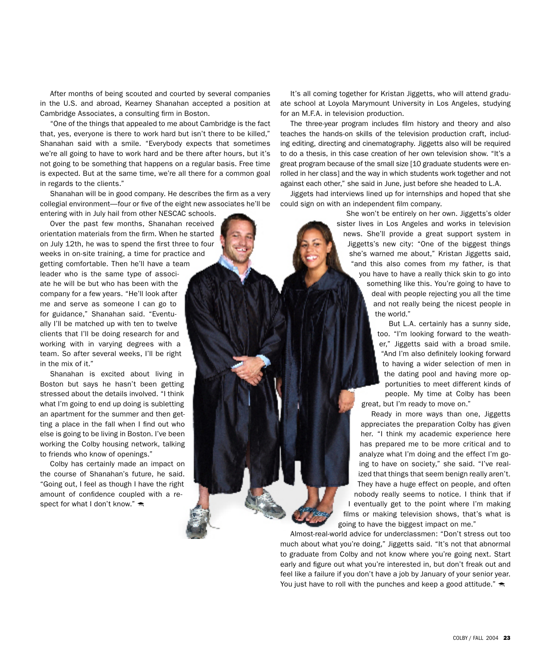After months of being scouted and courted by several companies in the U.S. and abroad, Kearney Shanahan accepted a position at Cambridge Associates, a consulting firm in Boston.

"One of the things that appealed to me about Cambridge is the fact that, yes, everyone is there to work hard but isn't there to be killed," Shanahan said with a smile. "Everybody expects that sometimes we're all going to have to work hard and be there after hours, but it's not going to be something that happens on a regular basis. Free time is expected. But at the same time, we're all there for a common goal in regards to the clients."

Shanahan will be in good company. He describes the firm as a very collegial environment—four or five of the eight new associates he'll be entering with in July hail from other NESCAC schools.

Over the past few months, Shanahan received orientation materials from the firm. When he started on July 12th, he was to spend the first three to four weeks in on-site training, a time for practice and getting comfortable. Then he'll have a team leader who is the same type of associate he will be but who has been with the company for a few years. "He'll look after me and serve as someone I can go to for guidance," Shanahan said. "Eventually I'll be matched up with ten to twelve clients that I'll be doing research for and working with in varying degrees with a team. So after several weeks, I'll be right in the mix of it."

Shanahan is excited about living in Boston but says he hasn't been getting stressed about the details involved. "I think what I'm going to end up doing is subletting an apartment for the summer and then getting a place in the fall when I find out who else is going to be living in Boston. I've been working the Colby housing network, talking to friends who know of openings."

Colby has certainly made an impact on the course of Shanahan's future, he said. "Going out, I feel as though I have the right amount of confidence coupled with a respect for what I don't know."  $\triangleq$ 

It's all coming together for Kristan Jiggetts, who will attend graduate school at Loyola Marymount University in Los Angeles, studying for an M.F.A. in television production.

The three-year program includes film history and theory and also teaches the hands-on skills of the television production craft, including editing, directing and cinematography. Jiggetts also will be required to do a thesis, in this case creation of her own television show. "It's a great program because of the small size [10 graduate students were enrolled in her class] and the way in which students work together and not against each other," she said in June, just before she headed to L.A.

Jiggets had interviews lined up for internships and hoped that she could sign on with an independent film company.

> She won't be entirely on her own. Jiggetts's older sister lives in Los Angeles and works in television news. She'll provide a great support system in Jiggetts's new city: "One of the biggest things she's warned me about," Kristan Jiggetts said, "and this also comes from my father, is that you have to have a really thick skin to go into something like this. You're going to have to deal with people rejecting you all the time and not really being the nicest people in the world."

> > But L.A. certainly has a sunny side, too. "I'm looking forward to the weather," Jiggetts said with a broad smile. "And I'm also definitely looking forward to having a wider selection of men in the dating pool and having more opportunities to meet different kinds of people. My time at Colby has been great, but I'm ready to move on."

Ready in more ways than one, Jiggetts appreciates the preparation Colby has given her. "I think my academic experience here has prepared me to be more critical and to analyze what I'm doing and the effect I'm going to have on society," she said. "I've realized that things that seem benign really aren't. They have a huge effect on people, and often nobody really seems to notice. I think that if I eventually get to the point where I'm making films or making television shows, that's what is going to have the biggest impact on me."

Almost-real-world advice for underclassmen: "Don't stress out too much about what you're doing," Jiggetts said. "It's not that abnormal to graduate from Colby and not know where you're going next. Start early and figure out what you're interested in, but don't freak out and feel like a failure if you don't have a job by January of your senior year. You just have to roll with the punches and keep a good attitude."  $\triangle$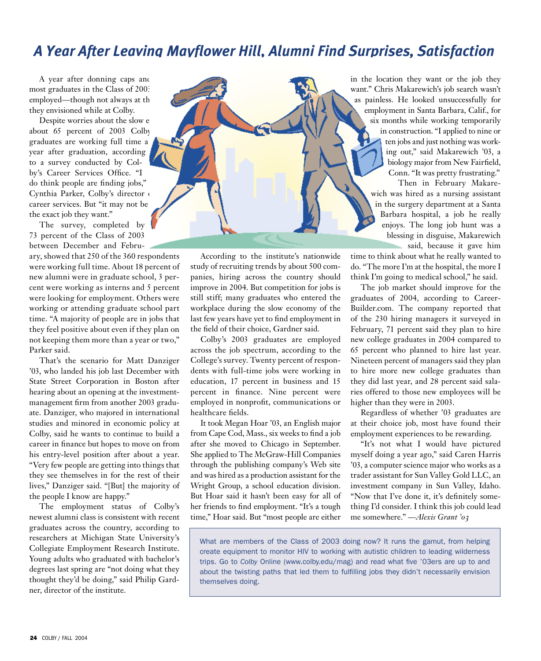## *A Year After Leaving Mayflower Hill, Alumni Find Surprises, Satisfaction*

A year after donning caps and most graduates in the Class of 2003 employed—though not always at th they envisioned while at Colby.

Despite worries about the slow e about 65 percent of 2003 Colby graduates are working full time a year after graduation, according to a survey conducted by Colby's Career Services Office. "I do think people are finding jobs," Cynthia Parker, Colby's director of career services. But "it may not be the exact job they want."

The survey, completed by 73 percent of the Class of 2003 between December and Febru-

ary, showed that 250 of the 360 respondents were working full time. About 18 percent of new alumni were in graduate school, 3 percent were working as interns and 5 percent were looking for employment. Others were working or attending graduate school part time. "A majority of people are in jobs that they feel positive about even if they plan on not keeping them more than a year or two," Parker said.

That's the scenario for Matt Danziger '03, who landed his job last December with State Street Corporation in Boston after hearing about an opening at the investmentmanagement firm from another 2003 graduate. Danziger, who majored in international studies and minored in economic policy at Colby, said he wants to continue to build a career in finance but hopes to move on from his entry-level position after about a year. "Very few people are getting into things that they see themselves in for the rest of their lives," Danziger said. "[But] the majority of the people I know are happy."

The employment status of Colby's newest alumni class is consistent with recent graduates across the country, according to researchers at Michigan State University's Collegiate Employment Research Institute. Young adults who graduated with bachelor's degrees last spring are "not doing what they thought they'd be doing," said Philip Gardner, director of the institute.



According to the institute's nationwide study of recruiting trends by about 500 companies, hiring across the country should improve in 2004. But competition for jobs is still stiff; many graduates who entered the workplace during the slow economy of the last few years have yet to find employment in the field of their choice, Gardner said.

Colby's 2003 graduates are employed across the job spectrum, according to the College's survey. Twenty percent of respondents with full-time jobs were working in education, 17 percent in business and 15 percent in finance. Nine percent were employed in nonprofit, communications or healthcare fields.

It took Megan Hoar '03, an English major from Cape Cod, Mass., six weeks to find a job after she moved to Chicago in September. She applied to The McGraw-Hill Companies through the publishing company's Web site and was hired as a production assistant for the Wright Group, a school education division. But Hoar said it hasn't been easy for all of her friends to find employment. "It's a tough time," Hoar said. But "most people are either

in the location they want or the job they want." Chris Makarewich's job search wasn't as painless. He looked unsuccessfully for employment in Santa Barbara, Calif., for six months while working temporarily in construction. "I applied to nine or ten jobs and just nothing was working out," said Makarewich '03, a biology major from New Fairfield, Conn. "It was pretty frustrating." Then in February Makarewich was hired as a nursing assistant

in the surgery department at a Santa Barbara hospital, a job he really enjoys. The long job hunt was a blessing in disguise, Makarewich said, because it gave him

time to think about what he really wanted to do. "The more I'm at the hospital, the more I think I'm going to medical school," he said.

The job market should improve for the graduates of 2004, according to Career-Builder.com. The company reported that of the 230 hiring managers it surveyed in February, 71 percent said they plan to hire new college graduates in 2004 compared to 65 percent who planned to hire last year. Nineteen percent of managers said they plan to hire more new college graduates than they did last year, and 28 percent said salaries offered to those new employees will be higher than they were in 2003.

Regardless of whether '03 graduates are at their choice job, most have found their employment experiences to be rewarding.

"It's not what I would have pictured myself doing a year ago," said Caren Harris '03, a computer science major who works as a trader assistant for Sun Valley Gold LLC, an investment company in Sun Valley, Idaho. "Now that I've done it, it's definitely something I'd consider. I think this job could lead me somewhere." —*Alexis Grant '03*

What are members of the Class of 2003 doing now? It runs the gamut, from helping create equipment to monitor HIV to working with autistic children to leading wilderness trips. Go to *Colby* Online (www.colby.edu/mag) and read what five '03ers are up to and about the twisting paths that led them to fulfilling jobs they didn't necessarily envision themselves doing.